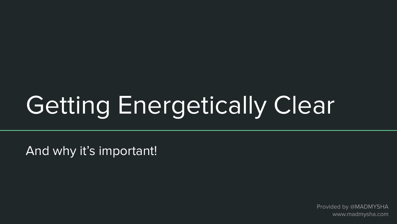# Getting Energetically Clear

And why it's important!

Provided by @MADMYSHA www.madmysha.com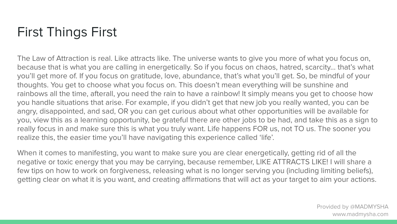# First Things First

The Law of Attraction is real. Like attracts like. The universe wants to give you more of what you focus on, because that is what you are calling in energetically. So if you focus on chaos, hatred, scarcity… that's what you'll get more of. If you focus on gratitude, love, abundance, that's what you'll get. So, be mindful of your thoughts. You get to choose what you focus on. This doesn't mean everything will be sunshine and rainbows all the time, afterall, you need the rain to have a rainbow! It simply means you get to choose how you handle situations that arise. For example, if you didn't get that new job you really wanted, you can be angry, disappointed, and sad, OR you can get curious about what other opportunities will be available for you, view this as a learning opportunity, be grateful there are other jobs to be had, and take this as a sign to really focus in and make sure this is what you truly want. Life happens FOR us, not TO us. The sooner you realize this, the easier time you'll have navigating this experience called 'life'.

When it comes to manifesting, you want to make sure you are clear energetically, getting rid of all the negative or toxic energy that you may be carrying, because remember, LIKE ATTRACTS LIKE! I will share a few tips on how to work on forgiveness, releasing what is no longer serving you (including limiting beliefs), getting clear on what it is you want, and creating affirmations that will act as your target to aim your actions.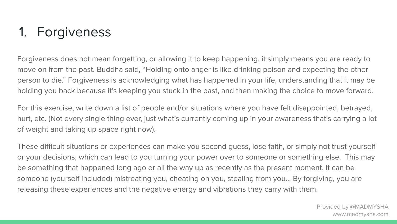# 1. Forgiveness

Forgiveness does not mean forgetting, or allowing it to keep happening, it simply means you are ready to move on from the past. Buddha said, "Holding onto anger is like drinking poison and expecting the other person to die." Forgiveness is acknowledging what has happened in your life, understanding that it may be holding you back because it's keeping you stuck in the past, and then making the choice to move forward.

For this exercise, write down a list of people and/or situations where you have felt disappointed, betrayed, hurt, etc. (Not every single thing ever, just what's currently coming up in your awareness that's carrying a lot of weight and taking up space right now).

These difficult situations or experiences can make you second guess, lose faith, or simply not trust yourself or your decisions, which can lead to you turning your power over to someone or something else. This may be something that happened long ago or all the way up as recently as the present moment. It can be someone (yourself included) mistreating you, cheating on you, stealing from you… By forgiving, you are releasing these experiences and the negative energy and vibrations they carry with them.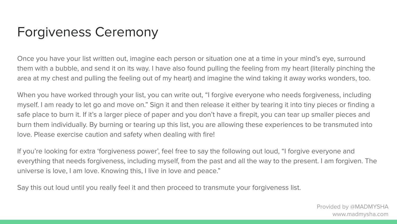# Forgiveness Ceremony

Once you have your list written out, imagine each person or situation one at a time in your mind's eye, surround them with a bubble, and send it on its way. I have also found pulling the feeling from my heart (literally pinching the area at my chest and pulling the feeling out of my heart) and imagine the wind taking it away works wonders, too.

When you have worked through your list, you can write out, "I forgive everyone who needs forgiveness, including myself. I am ready to let go and move on." Sign it and then release it either by tearing it into tiny pieces or finding a safe place to burn it. If it's a larger piece of paper and you don't have a firepit, you can tear up smaller pieces and burn them individually. By burning or tearing up this list, you are allowing these experiences to be transmuted into love. Please exercise caution and safety when dealing with fire!

If you're looking for extra 'forgiveness power', feel free to say the following out loud, "I forgive everyone and everything that needs forgiveness, including myself, from the past and all the way to the present. I am forgiven. The universe is love, I am love. Knowing this, I live in love and peace."

Say this out loud until you really feel it and then proceed to transmute your forgiveness list.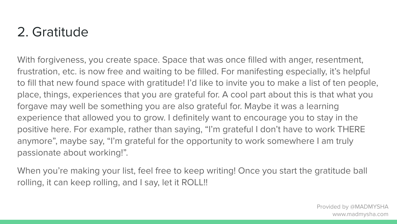## 2. Gratitude

With forgiveness, you create space. Space that was once filled with anger, resentment, frustration, etc. is now free and waiting to be filled. For manifesting especially, it's helpful to fill that new found space with gratitude! I'd like to invite you to make a list of ten people, place, things, experiences that you are grateful for. A cool part about this is that what you forgave may well be something you are also grateful for. Maybe it was a learning experience that allowed you to grow. I definitely want to encourage you to stay in the positive here. For example, rather than saying, "I'm grateful I don't have to work THERE anymore", maybe say, "I'm grateful for the opportunity to work somewhere I am truly passionate about working!".

When you're making your list, feel free to keep writing! Once you start the gratitude ball rolling, it can keep rolling, and I say, let it ROLL!!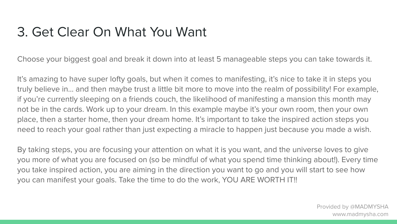#### 3. Get Clear On What You Want

Choose your biggest goal and break it down into at least 5 manageable steps you can take towards it.

It's amazing to have super lofty goals, but when it comes to manifesting, it's nice to take it in steps you truly believe in… and then maybe trust a little bit more to move into the realm of possibility! For example, if you're currently sleeping on a friends couch, the likelihood of manifesting a mansion this month may not be in the cards. Work up to your dream. In this example maybe it's your own room, then your own place, then a starter home, then your dream home. It's important to take the inspired action steps you need to reach your goal rather than just expecting a miracle to happen just because you made a wish.

By taking steps, you are focusing your attention on what it is you want, and the universe loves to give you more of what you are focused on (so be mindful of what you spend time thinking about!). Every time you take inspired action, you are aiming in the direction you want to go and you will start to see how you can manifest your goals. Take the time to do the work, YOU ARE WORTH IT!!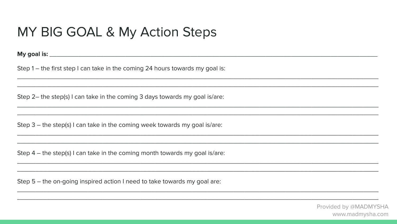#### MY BIG GOAL & My Action Steps

Step  $1$  – the first step I can take in the coming 24 hours towards my goal is:

Step 2- the step(s) I can take in the coming 3 days towards my goal is/are:

Step 3 - the step(s) I can take in the coming week towards my goal is/are:

Step  $4$  – the step(s) I can take in the coming month towards my goal is/are:

Step 5 - the on-going inspired action I need to take towards my goal are: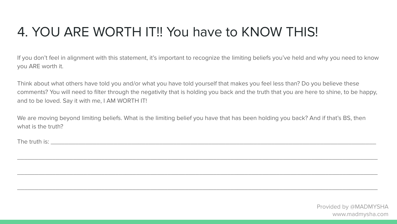## 4. YOU ARE WORTH IT!! You have to KNOW THIS!

If you don't feel in alignment with this statement, it's important to recognize the limiting beliefs you've held and why you need to know you ARE worth it.

Think about what others have told you and/or what you have told yourself that makes you feel less than? Do you believe these comments? You will need to filter through the negativity that is holding you back and the truth that you are here to shine, to be happy, and to be loved. Say it with me, I AM WORTH IT!

We are moving beyond limiting beliefs. What is the limiting belief you have that has been holding you back? And if that's BS, then what is the truth?

\_\_\_\_\_\_\_\_\_\_\_\_\_\_\_\_\_\_\_\_\_\_\_\_\_\_\_\_\_\_\_\_\_\_\_\_\_\_\_\_\_\_\_\_\_\_\_\_\_\_\_\_\_\_\_\_\_\_\_\_\_\_\_\_\_\_\_\_\_\_\_\_\_\_\_\_\_\_\_\_\_\_\_\_\_\_\_\_\_\_\_\_\_\_\_\_\_\_\_\_\_\_\_

\_\_\_\_\_\_\_\_\_\_\_\_\_\_\_\_\_\_\_\_\_\_\_\_\_\_\_\_\_\_\_\_\_\_\_\_\_\_\_\_\_\_\_\_\_\_\_\_\_\_\_\_\_\_\_\_\_\_\_\_\_\_\_\_\_\_\_\_\_\_\_\_\_\_\_\_\_\_\_\_\_\_\_\_\_\_\_\_\_\_\_\_\_\_\_\_\_\_\_\_\_\_\_

\_\_\_\_\_\_\_\_\_\_\_\_\_\_\_\_\_\_\_\_\_\_\_\_\_\_\_\_\_\_\_\_\_\_\_\_\_\_\_\_\_\_\_\_\_\_\_\_\_\_\_\_\_\_\_\_\_\_\_\_\_\_\_\_\_\_\_\_\_\_\_\_\_\_\_\_\_\_\_\_\_\_\_\_\_\_\_\_\_\_\_\_\_\_\_\_\_\_\_\_\_\_\_

The truth is: **we can also contribute** the set of  $\mathcal{L}$  is a set of  $\mathcal{L}$  is a set of  $\mathcal{L}$  is a set of  $\mathcal{L}$  is a set of  $\mathcal{L}$  is a set of  $\mathcal{L}$  is a set of  $\mathcal{L}$  is a set of  $\mathcal{L}$  is a set of  $\mathcal$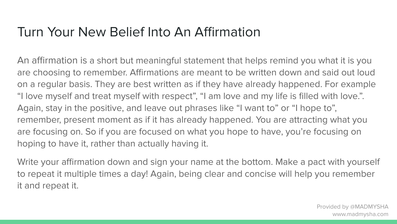#### Turn Your New Belief Into An Affirmation

An affirmation is a short but meaningful statement that helps remind you what it is you are choosing to remember. Affirmations are meant to be written down and said out loud on a regular basis. They are best written as if they have already happened. For example "I love myself and treat myself with respect", "I am love and my life is filled with love.". Again, stay in the positive, and leave out phrases like "I want to" or "I hope to", remember, present moment as if it has already happened. You are attracting what you are focusing on. So if you are focused on what you hope to have, you're focusing on hoping to have it, rather than actually having it.

Write your affirmation down and sign your name at the bottom. Make a pact with yourself to repeat it multiple times a day! Again, being clear and concise will help you remember it and repeat it.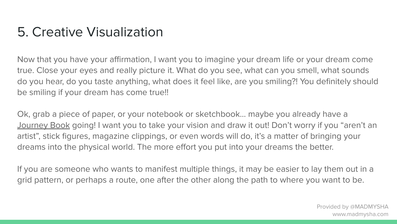#### 5. Creative Visualization

Now that you have your affirmation, I want you to imagine your dream life or your dream come true. Close your eyes and really picture it. What do you see, what can you smell, what sounds do you hear, do you taste anything, what does it feel like, are you smiling?! You definitely should be smiling if your dream has come true!!

Ok, grab a piece of paper, or your notebook or sketchbook… maybe you already have a [Journey Book](https://mystore5878.samcart.com/products/journey-book-course) going! I want you to take your vision and draw it out! Don't worry if you "aren't an artist", stick figures, magazine clippings, or even words will do, it's a matter of bringing your dreams into the physical world. The more effort you put into your dreams the better.

If you are someone who wants to manifest multiple things, it may be easier to lay them out in a grid pattern, or perhaps a route, one after the other along the path to where you want to be.